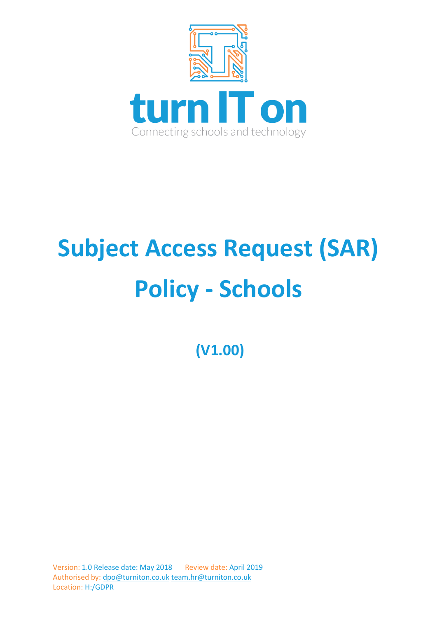

# **Subject Access Request (SAR) Policy - Schools**

**(V1.00)**

Version: 1.0 Release date: May 2018 Review date: April 2019 Authorised by: [dpo@turniton.co.uk](mailto:dpo@turniton.co.uk) [team.hr@turniton.co.uk](mailto:team.hr@turniton.co.uk) Location: H:/GDPR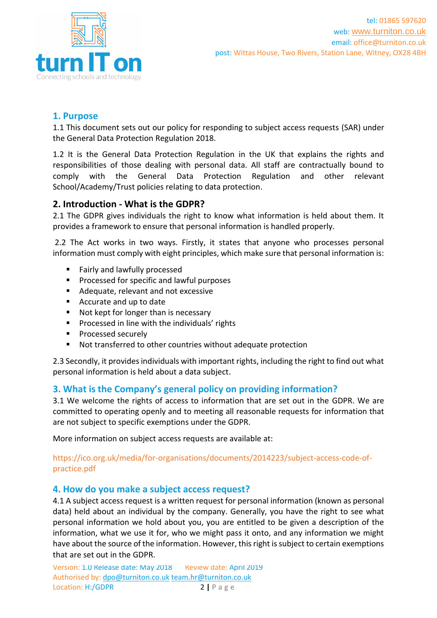

## **1. Purpose**

1.1 This document sets out our policy for responding to subject access requests (SAR) under the General Data Protection Regulation 2018.

1.2 It is the General Data Protection Regulation in the UK that explains the rights and responsibilities of those dealing with personal data. All staff are contractually bound to comply with the General Data Protection Regulation and other relevant School/Academy/Trust policies relating to data protection.

## **2. Introduction - What is the GDPR?**

2.1 The GDPR gives individuals the right to know what information is held about them. It provides a framework to ensure that personal information is handled properly.

2.2 The Act works in two ways. Firstly, it states that anyone who processes personal information must comply with eight principles, which make sure that personal information is:

- Fairly and lawfully processed
- Processed for specific and lawful purposes
- Adequate, relevant and not excessive
- Accurate and up to date
- Not kept for longer than is necessary
- Processed in line with the individuals' rights
- Processed securely
- Not transferred to other countries without adequate protection

2.3 Secondly, it provides individuals with important rights, including the right to find out what personal information is held about a data subject.

## **3. What is the Company's general policy on providing information?**

3.1 We welcome the rights of access to information that are set out in the GDPR. We are committed to operating openly and to meeting all reasonable requests for information that are not subject to specific exemptions under the GDPR.

More information on subject access requests are available at:

#### https://ico.org.uk/media/for-organisations/documents/2014223/subject-access-code-ofpractice.pdf

## **4. How do you make a subject access request?**

4.1 A subject access request is a written request for personal information (known as personal data) held about an individual by the company. Generally, you have the right to see what personal information we hold about you, you are entitled to be given a description of the information, what we use it for, who we might pass it onto, and any information we might have about the source of the information. However, this right is subject to certain exemptions that are set out in the GDPR.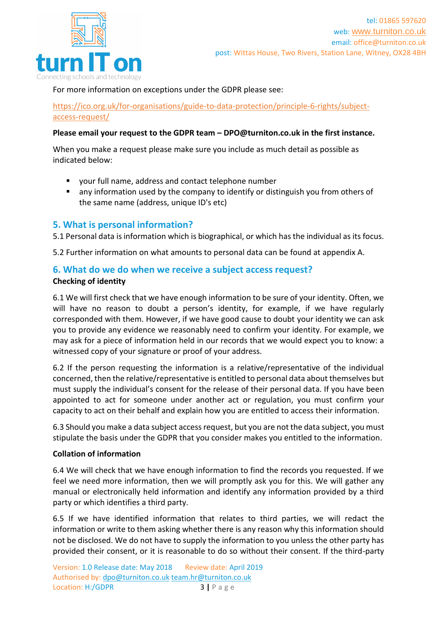

For more information on exceptions under the GDPR please see:

[https://ico.org.uk/for-organisations/guide-to-data-protection/principle-6-rights/subject](https://ico.org.uk/for-organisations/guide-to-data-protection/principle-6-rights/subject-access-request/)[access-request/](https://ico.org.uk/for-organisations/guide-to-data-protection/principle-6-rights/subject-access-request/)

#### **Please email your request to the GDPR team – DPO@turniton.co.uk in the first instance.**

When you make a request please make sure you include as much detail as possible as indicated below:

- your full name, address and contact telephone number
- any information used by the company to identify or distinguish you from others of the same name (address, unique ID's etc)

## **5. What is personal information?**

5.1 Personal data is information which is biographical, or which has the individual as its focus.

5.2 Further information on what amounts to personal data can be found at appendix A.

#### **6. What do we do when we receive a subject access request? Checking of identity**

6.1 We will first check that we have enough information to be sure of your identity. Often, we will have no reason to doubt a person's identity, for example, if we have regularly corresponded with them. However, if we have good cause to doubt your identity we can ask you to provide any evidence we reasonably need to confirm your identity. For example, we may ask for a piece of information held in our records that we would expect you to know: a witnessed copy of your signature or proof of your address.

6.2 If the person requesting the information is a relative/representative of the individual concerned, then the relative/representative is entitled to personal data about themselves but must supply the individual's consent for the release of their personal data. If you have been appointed to act for someone under another act or regulation, you must confirm your capacity to act on their behalf and explain how you are entitled to access their information.

6.3 Should you make a data subject access request, but you are not the data subject, you must stipulate the basis under the GDPR that you consider makes you entitled to the information.

#### **Collation of information**

6.4 We will check that we have enough information to find the records you requested. If we feel we need more information, then we will promptly ask you for this. We will gather any manual or electronically held information and identify any information provided by a third party or which identifies a third party.

6.5 If we have identified information that relates to third parties, we will redact the information or write to them asking whether there is any reason why this information should not be disclosed. We do not have to supply the information to you unless the other party has provided their consent, or it is reasonable to do so without their consent. If the third-party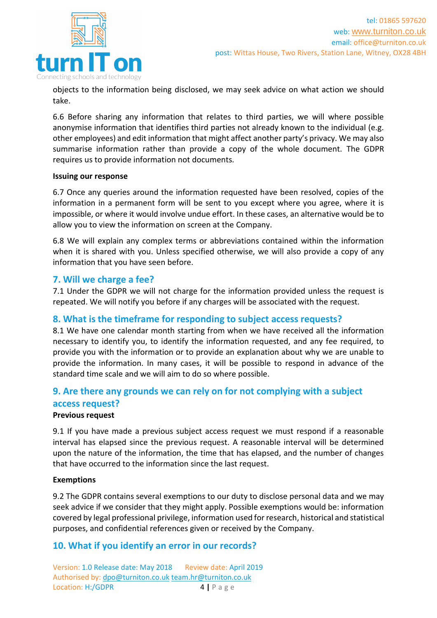

objects to the information being disclosed, we may seek advice on what action we should take.

6.6 Before sharing any information that relates to third parties, we will where possible anonymise information that identifies third parties not already known to the individual (e.g. other employees) and edit information that might affect another party's privacy. We may also summarise information rather than provide a copy of the whole document. The GDPR requires us to provide information not documents.

#### **Issuing our response**

6.7 Once any queries around the information requested have been resolved, copies of the information in a permanent form will be sent to you except where you agree, where it is impossible, or where it would involve undue effort. In these cases, an alternative would be to allow you to view the information on screen at the Company.

6.8 We will explain any complex terms or abbreviations contained within the information when it is shared with you. Unless specified otherwise, we will also provide a copy of any information that you have seen before.

#### **7. Will we charge a fee?**

7.1 Under the GDPR we will not charge for the information provided unless the request is repeated. We will notify you before if any charges will be associated with the request.

#### **8. What is the timeframe for responding to subject access requests?**

8.1 We have one calendar month starting from when we have received all the information necessary to identify you, to identify the information requested, and any fee required, to provide you with the information or to provide an explanation about why we are unable to provide the information. In many cases, it will be possible to respond in advance of the standard time scale and we will aim to do so where possible.

# **9. Are there any grounds we can rely on for not complying with a subject access request?**

#### **Previous request**

9.1 If you have made a previous subject access request we must respond if a reasonable interval has elapsed since the previous request. A reasonable interval will be determined upon the nature of the information, the time that has elapsed, and the number of changes that have occurred to the information since the last request.

#### **Exemptions**

9.2 The GDPR contains several exemptions to our duty to disclose personal data and we may seek advice if we consider that they might apply. Possible exemptions would be: information covered by legal professional privilege, information used for research, historical and statistical purposes, and confidential references given or received by the Company.

## **10. What if you identify an error in our records?**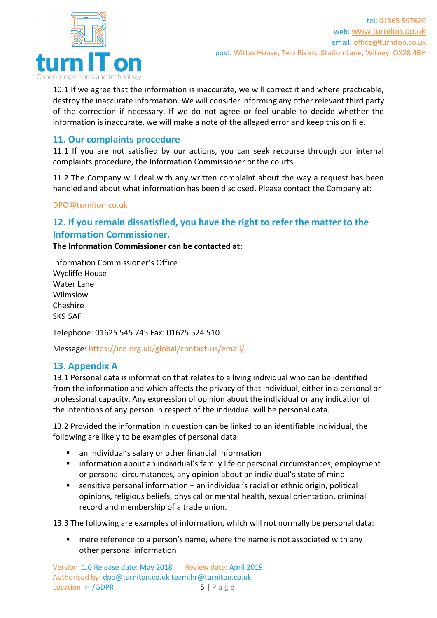

10.1 If we agree that the information is inaccurate, we will correct it and where practicable, destroy the inaccurate information. We will consider informing any other relevant third party of the correction if necessary. If we do not agree or feel unable to decide whether the information is inaccurate, we will make a note of the alleged error and keep this on file.

# **11. Our complaints procedure**

11.1 If you are not satisfied by our actions, you can seek recourse through our internal complaints procedure, the Information Commissioner or the courts.

11.2 The Company will deal with any written complaint about the way a request has been handled and about what information has been disclosed. Please contact the Company at:

#### [DPO@turniton.co.uk](mailto:DPO@turniton.co.uk)

# **12. If you remain dissatisfied, you have the right to refer the matter to the Information Commissioner.**

**The Information Commissioner can be contacted at:** 

Information Commissioner's Office Wycliffe House Water Lane Wilmslow Cheshire SK9 5AF

Telephone: 01625 545 745 Fax: 01625 524 510

Message:<https://ico.org.uk/global/contact-us/email/>

## **13. Appendix A**

13.1 Personal data is information that relates to a living individual who can be identified from the information and which affects the privacy of that individual, either in a personal or professional capacity. Any expression of opinion about the individual or any indication of the intentions of any person in respect of the individual will be personal data.

13.2 Provided the information in question can be linked to an identifiable individual, the following are likely to be examples of personal data:

- an individual's salary or other financial information
- information about an individual's family life or personal circumstances, employment or personal circumstances, any opinion about an individual's state of mind
- **E** sensitive personal information  $-$  an individual's racial or ethnic origin, political opinions, religious beliefs, physical or mental health, sexual orientation, criminal record and membership of a trade union.

13.3 The following are examples of information, which will not normally be personal data:

mere reference to a person's name, where the name is not associated with any other personal information

Version: 1.0 Release date: May 2018 Review date: April 2019 Authorised by: [dpo@turniton.co.uk](mailto:dpo@turniton.co.uk) [team.hr@turniton.co.uk](mailto:team.hr@turniton.co.uk) Location: H:/GDPR 5 | P a g e